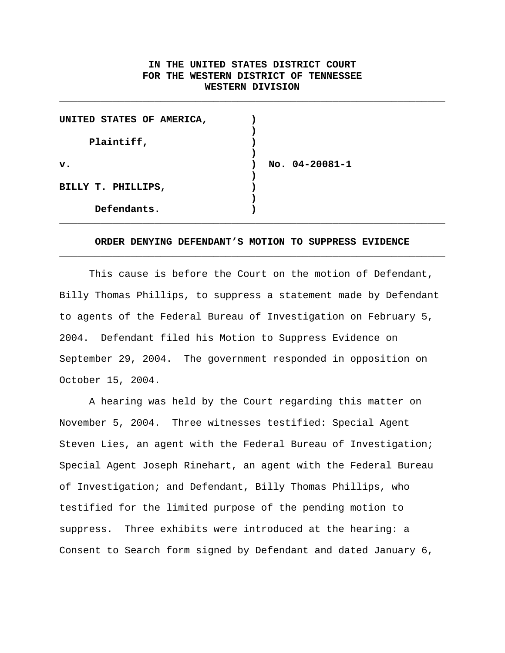# **IN THE UNITED STATES DISTRICT COURT FOR THE WESTERN DISTRICT OF TENNESSEE WESTERN DIVISION**

\_\_\_\_\_\_\_\_\_\_\_\_\_\_\_\_\_\_\_\_\_\_\_\_\_\_\_\_\_\_\_\_\_\_\_\_\_\_\_\_\_\_\_\_\_\_\_\_\_\_\_\_\_\_\_\_\_\_\_\_\_\_\_\_\_

| UNITED STATES OF AMERICA, |                  |
|---------------------------|------------------|
|                           |                  |
| Plaintiff,                |                  |
|                           |                  |
| $\mathbf v$ .             | No. $04-20081-1$ |
|                           |                  |
| BILLY T. PHILLIPS,        |                  |
|                           |                  |
| Defendants.               |                  |
|                           |                  |

# **ORDER DENYING DEFENDANT'S MOTION TO SUPPRESS EVIDENCE** \_\_\_\_\_\_\_\_\_\_\_\_\_\_\_\_\_\_\_\_\_\_\_\_\_\_\_\_\_\_\_\_\_\_\_\_\_\_\_\_\_\_\_\_\_\_\_\_\_\_\_\_\_\_\_\_\_\_\_\_\_\_\_\_\_

This cause is before the Court on the motion of Defendant, Billy Thomas Phillips, to suppress a statement made by Defendant to agents of the Federal Bureau of Investigation on February 5, 2004. Defendant filed his Motion to Suppress Evidence on September 29, 2004. The government responded in opposition on October 15, 2004.

A hearing was held by the Court regarding this matter on November 5, 2004. Three witnesses testified: Special Agent Steven Lies, an agent with the Federal Bureau of Investigation; Special Agent Joseph Rinehart, an agent with the Federal Bureau of Investigation; and Defendant, Billy Thomas Phillips, who testified for the limited purpose of the pending motion to suppress. Three exhibits were introduced at the hearing: a Consent to Search form signed by Defendant and dated January 6,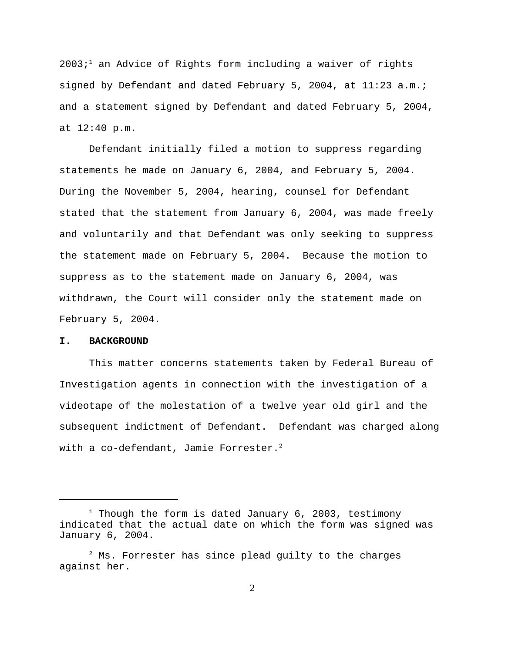$2003<sup>1</sup>$  an Advice of Rights form including a waiver of rights signed by Defendant and dated February 5, 2004, at 11:23 a.m.; and a statement signed by Defendant and dated February 5, 2004, at 12:40 p.m.

Defendant initially filed a motion to suppress regarding statements he made on January 6, 2004, and February 5, 2004. During the November 5, 2004, hearing, counsel for Defendant stated that the statement from January 6, 2004, was made freely and voluntarily and that Defendant was only seeking to suppress the statement made on February 5, 2004. Because the motion to suppress as to the statement made on January 6, 2004, was withdrawn, the Court will consider only the statement made on February 5, 2004.

#### **I. BACKGROUND**

This matter concerns statements taken by Federal Bureau of Investigation agents in connection with the investigation of a videotape of the molestation of a twelve year old girl and the subsequent indictment of Defendant. Defendant was charged along with a co-defendant, Jamie Forrester. $^2$ 

 $1$  Though the form is dated January 6, 2003, testimony indicated that the actual date on which the form was signed was January 6, 2004.

 $2$  Ms. Forrester has since plead guilty to the charges against her.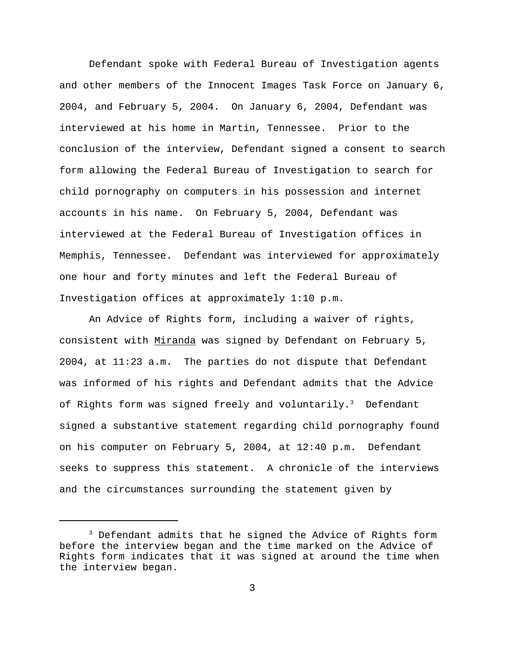Defendant spoke with Federal Bureau of Investigation agents and other members of the Innocent Images Task Force on January 6, 2004, and February 5, 2004. On January 6, 2004, Defendant was interviewed at his home in Martin, Tennessee. Prior to the conclusion of the interview, Defendant signed a consent to search form allowing the Federal Bureau of Investigation to search for child pornography on computers in his possession and internet accounts in his name. On February 5, 2004, Defendant was interviewed at the Federal Bureau of Investigation offices in Memphis, Tennessee. Defendant was interviewed for approximately one hour and forty minutes and left the Federal Bureau of Investigation offices at approximately 1:10 p.m.

An Advice of Rights form, including a waiver of rights, consistent with Miranda was signed by Defendant on February 5, 2004, at 11:23 a.m. The parties do not dispute that Defendant was informed of his rights and Defendant admits that the Advice of Rights form was signed freely and voluntarily.<sup>3</sup> Defendant signed a substantive statement regarding child pornography found on his computer on February 5, 2004, at 12:40 p.m. Defendant seeks to suppress this statement. A chronicle of the interviews and the circumstances surrounding the statement given by

 $3$  Defendant admits that he signed the Advice of Rights form before the interview began and the time marked on the Advice of Rights form indicates that it was signed at around the time when the interview began.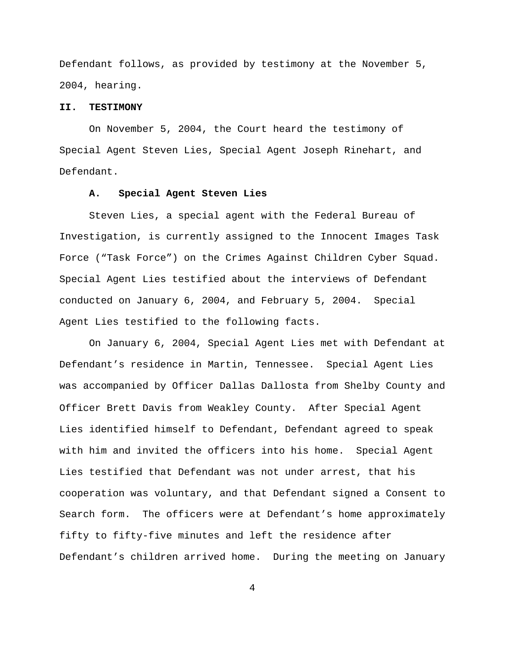Defendant follows, as provided by testimony at the November 5, 2004, hearing.

## **II. TESTIMONY**

On November 5, 2004, the Court heard the testimony of Special Agent Steven Lies, Special Agent Joseph Rinehart, and Defendant.

#### **A. Special Agent Steven Lies**

Steven Lies, a special agent with the Federal Bureau of Investigation, is currently assigned to the Innocent Images Task Force ("Task Force") on the Crimes Against Children Cyber Squad. Special Agent Lies testified about the interviews of Defendant conducted on January 6, 2004, and February 5, 2004. Special Agent Lies testified to the following facts.

On January 6, 2004, Special Agent Lies met with Defendant at Defendant's residence in Martin, Tennessee. Special Agent Lies was accompanied by Officer Dallas Dallosta from Shelby County and Officer Brett Davis from Weakley County. After Special Agent Lies identified himself to Defendant, Defendant agreed to speak with him and invited the officers into his home. Special Agent Lies testified that Defendant was not under arrest, that his cooperation was voluntary, and that Defendant signed a Consent to Search form. The officers were at Defendant's home approximately fifty to fifty-five minutes and left the residence after Defendant's children arrived home. During the meeting on January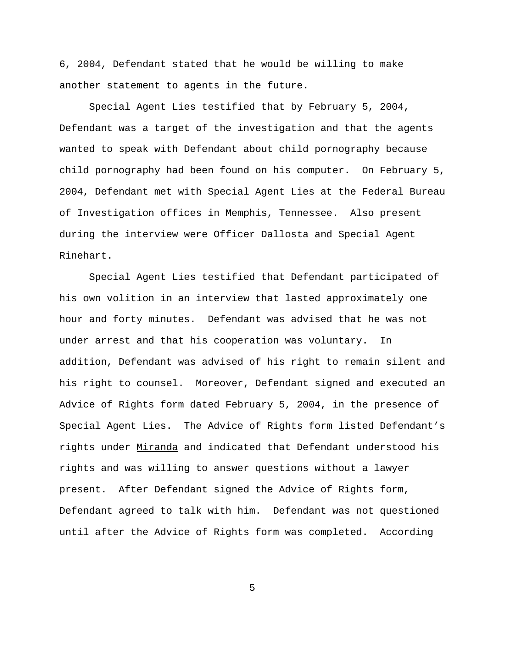6, 2004, Defendant stated that he would be willing to make another statement to agents in the future.

Special Agent Lies testified that by February 5, 2004, Defendant was a target of the investigation and that the agents wanted to speak with Defendant about child pornography because child pornography had been found on his computer. On February 5, 2004, Defendant met with Special Agent Lies at the Federal Bureau of Investigation offices in Memphis, Tennessee. Also present during the interview were Officer Dallosta and Special Agent Rinehart.

Special Agent Lies testified that Defendant participated of his own volition in an interview that lasted approximately one hour and forty minutes. Defendant was advised that he was not under arrest and that his cooperation was voluntary. In addition, Defendant was advised of his right to remain silent and his right to counsel. Moreover, Defendant signed and executed an Advice of Rights form dated February 5, 2004, in the presence of Special Agent Lies. The Advice of Rights form listed Defendant's rights under Miranda and indicated that Defendant understood his rights and was willing to answer questions without a lawyer present. After Defendant signed the Advice of Rights form, Defendant agreed to talk with him. Defendant was not questioned until after the Advice of Rights form was completed. According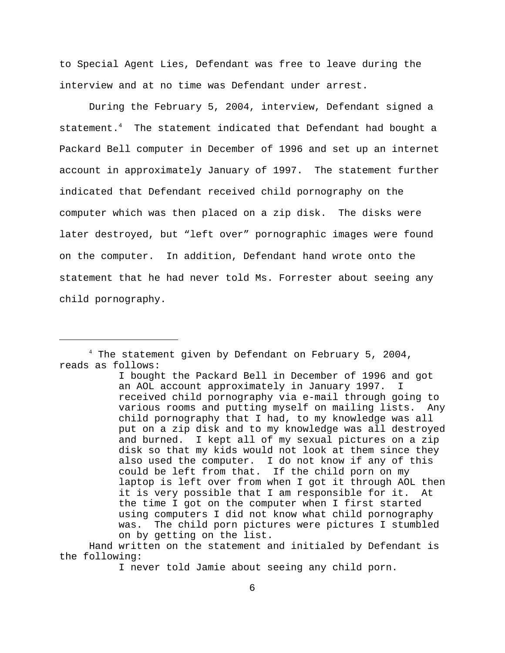to Special Agent Lies, Defendant was free to leave during the interview and at no time was Defendant under arrest.

During the February 5, 2004, interview, Defendant signed a statement.<sup>4</sup> The statement indicated that Defendant had bought a Packard Bell computer in December of 1996 and set up an internet account in approximately January of 1997. The statement further indicated that Defendant received child pornography on the computer which was then placed on a zip disk. The disks were later destroyed, but "left over" pornographic images were found on the computer.In addition, Defendant hand wrote onto the statement that he had never told Ms. Forrester about seeing any child pornography.

 $4$  The statement given by Defendant on February 5, 2004, reads as follows:

I bought the Packard Bell in December of 1996 and got an AOL account approximately in January 1997. I received child pornography via e-mail through going to various rooms and putting myself on mailing lists. Any child pornography that I had, to my knowledge was all put on a zip disk and to my knowledge was all destroyed and burned. I kept all of my sexual pictures on a zip disk so that my kids would not look at them since they also used the computer. I do not know if any of this could be left from that. If the child porn on my laptop is left over from when I got it through AOL then it is very possible that I am responsible for it. At the time I got on the computer when I first started using computers I did not know what child pornography was. The child porn pictures were pictures I stumbled on by getting on the list.

Hand written on the statement and initialed by Defendant is the following:

I never told Jamie about seeing any child porn.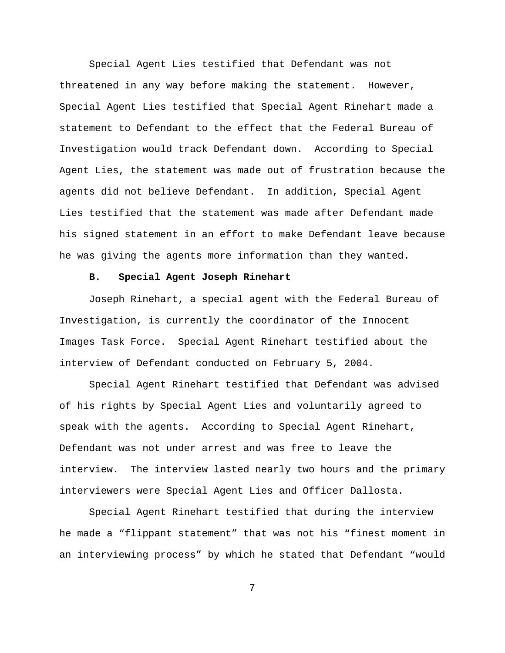Special Agent Lies testified that Defendant was not threatened in any way before making the statement. However, Special Agent Lies testified that Special Agent Rinehart made a statement to Defendant to the effect that the Federal Bureau of Investigation would track Defendant down. According to Special Agent Lies, the statement was made out of frustration because the agents did not believe Defendant. In addition, Special Agent Lies testified that the statement was made after Defendant made his signed statement in an effort to make Defendant leave because he was giving the agents more information than they wanted.

## **B. Special Agent Joseph Rinehart**

Joseph Rinehart, a special agent with the Federal Bureau of Investigation, is currently the coordinator of the Innocent Images Task Force. Special Agent Rinehart testified about the interview of Defendant conducted on February 5, 2004.

Special Agent Rinehart testified that Defendant was advised of his rights by Special Agent Lies and voluntarily agreed to speak with the agents. According to Special Agent Rinehart, Defendant was not under arrest and was free to leave the interview. The interview lasted nearly two hours and the primary interviewers were Special Agent Lies and Officer Dallosta.

Special Agent Rinehart testified that during the interview he made a "flippant statement" that was not his "finest moment in an interviewing process" by which he stated that Defendant "would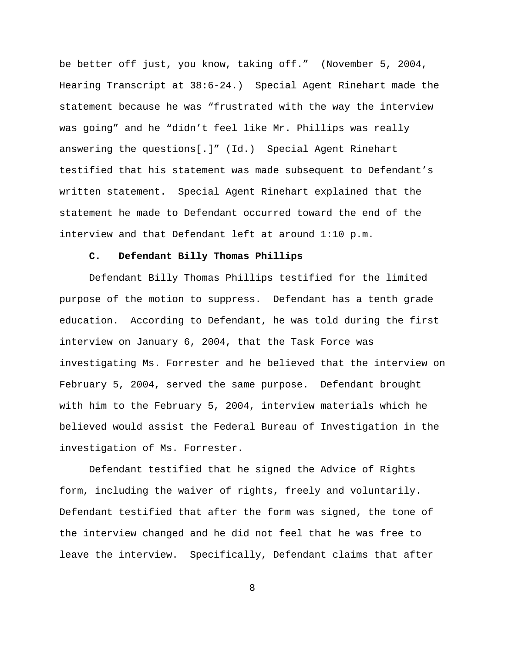be better off just, you know, taking off." (November 5, 2004, Hearing Transcript at 38:6-24.) Special Agent Rinehart made the statement because he was "frustrated with the way the interview was going" and he "didn't feel like Mr. Phillips was really answering the questions[.]" (Id.) Special Agent Rinehart testified that his statement was made subsequent to Defendant's written statement. Special Agent Rinehart explained that the statement he made to Defendant occurred toward the end of the interview and that Defendant left at around 1:10 p.m.

## **C. Defendant Billy Thomas Phillips**

Defendant Billy Thomas Phillips testified for the limited purpose of the motion to suppress. Defendant has a tenth grade education. According to Defendant, he was told during the first interview on January 6, 2004, that the Task Force was investigating Ms. Forrester and he believed that the interview on February 5, 2004, served the same purpose. Defendant brought with him to the February 5, 2004, interview materials which he believed would assist the Federal Bureau of Investigation in the investigation of Ms. Forrester.

Defendant testified that he signed the Advice of Rights form, including the waiver of rights, freely and voluntarily. Defendant testified that after the form was signed, the tone of the interview changed and he did not feel that he was free to leave the interview. Specifically, Defendant claims that after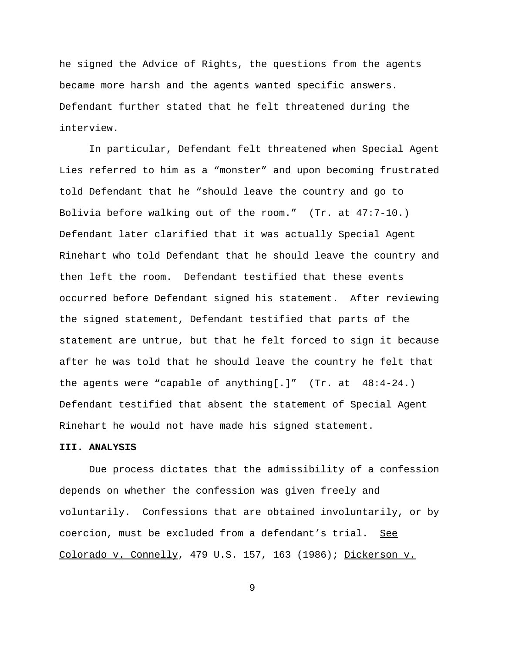he signed the Advice of Rights, the questions from the agents became more harsh and the agents wanted specific answers. Defendant further stated that he felt threatened during the interview.

In particular, Defendant felt threatened when Special Agent Lies referred to him as a "monster" and upon becoming frustrated told Defendant that he "should leave the country and go to Bolivia before walking out of the room." (Tr. at 47:7-10.) Defendant later clarified that it was actually Special Agent Rinehart who told Defendant that he should leave the country and then left the room. Defendant testified that these events occurred before Defendant signed his statement. After reviewing the signed statement, Defendant testified that parts of the statement are untrue, but that he felt forced to sign it because after he was told that he should leave the country he felt that the agents were "capable of anything[.]"  $(Tr. at 48:4-24.)$ Defendant testified that absent the statement of Special Agent Rinehart he would not have made his signed statement.

### **III. ANALYSIS**

Due process dictates that the admissibility of a confession depends on whether the confession was given freely and voluntarily. Confessions that are obtained involuntarily, or by coercion, must be excluded from a defendant's trial. See Colorado v. Connelly, 479 U.S. 157, 163 (1986); Dickerson v.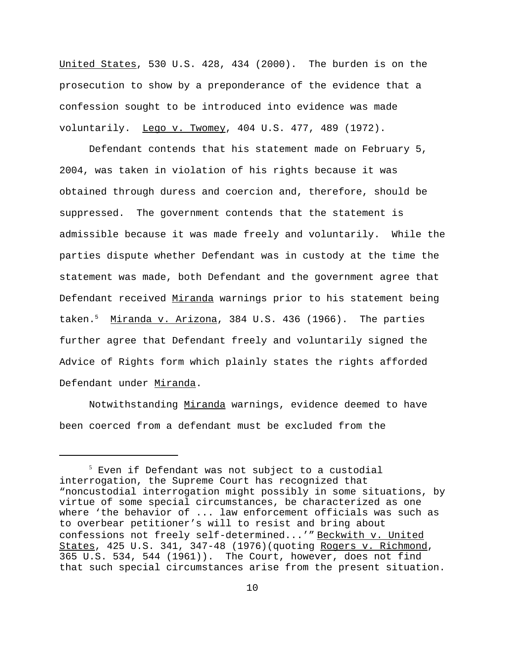United States, 530 U.S. 428, 434 (2000). The burden is on the prosecution to show by a preponderance of the evidence that a confession sought to be introduced into evidence was made voluntarily. Lego v. Twomey, 404 U.S. 477, 489 (1972).

Defendant contends that his statement made on February 5, 2004, was taken in violation of his rights because it was obtained through duress and coercion and, therefore, should be suppressed. The government contends that the statement is admissible because it was made freely and voluntarily. While the parties dispute whether Defendant was in custody at the time the statement was made, both Defendant and the government agree that Defendant received Miranda warnings prior to his statement being taken.<sup>5</sup> Miranda v. Arizona, 384 U.S. 436 (1966). The parties further agree that Defendant freely and voluntarily signed the Advice of Rights form which plainly states the rights afforded Defendant under Miranda.

Notwithstanding Miranda warnings, evidence deemed to have been coerced from a defendant must be excluded from the

 $5$  Even if Defendant was not subject to a custodial interrogation, the Supreme Court has recognized that "noncustodial interrogation might possibly in some situations, by virtue of some special circumstances, be characterized as one where 'the behavior of ... law enforcement officials was such as to overbear petitioner's will to resist and bring about confessions not freely self-determined...'" Beckwith v. United States, 425 U.S. 341, 347-48 (1976)(quoting Rogers v. Richmond, 365 U.S. 534, 544 (1961)). The Court, however, does not find that such special circumstances arise from the present situation.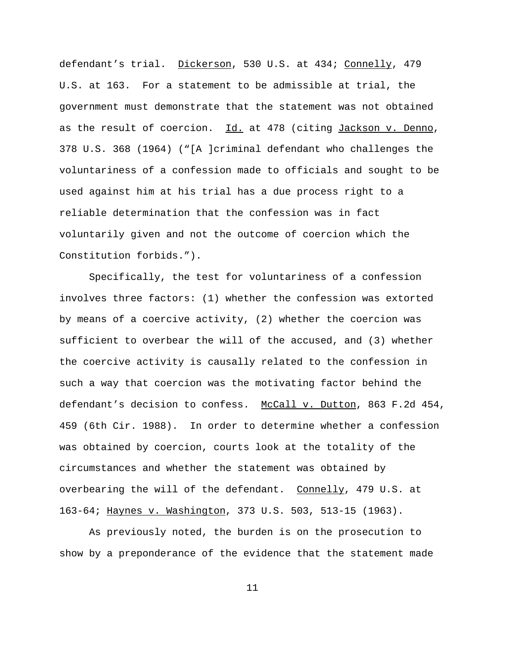defendant's trial. Dickerson, 530 U.S. at 434; Connelly, 479 U.S. at 163. For a statement to be admissible at trial, the government must demonstrate that the statement was not obtained as the result of coercion. Id. at 478 (citing Jackson v. Denno, 378 U.S. 368 (1964) ("[A ]criminal defendant who challenges the voluntariness of a confession made to officials and sought to be used against him at his trial has a due process right to a reliable determination that the confession was in fact voluntarily given and not the outcome of coercion which the Constitution forbids.").

Specifically, the test for voluntariness of a confession involves three factors: (1) whether the confession was extorted by means of a coercive activity, (2) whether the coercion was sufficient to overbear the will of the accused, and (3) whether the coercive activity is causally related to the confession in such a way that coercion was the motivating factor behind the defendant's decision to confess. McCall v. Dutton, 863 F.2d 454, 459 (6th Cir. 1988). In order to determine whether a confession was obtained by coercion, courts look at the totality of the circumstances and whether the statement was obtained by overbearing the will of the defendant. Connelly, 479 U.S. at 163-64; Haynes v. Washington, 373 U.S. 503, 513-15 (1963).

As previously noted, the burden is on the prosecution to show by a preponderance of the evidence that the statement made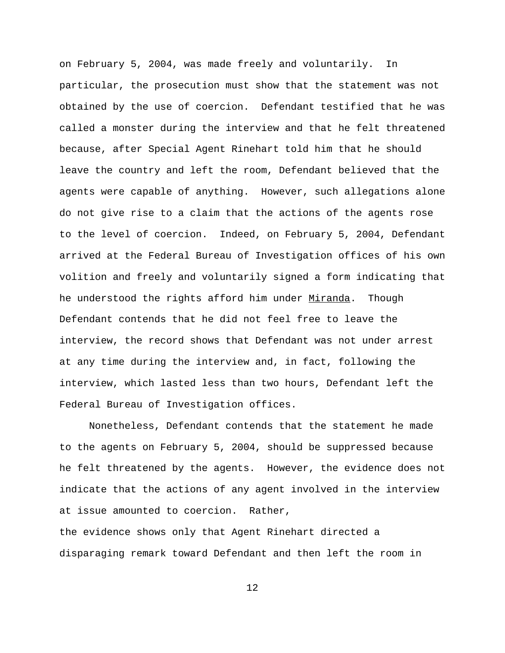on February 5, 2004, was made freely and voluntarily. In particular, the prosecution must show that the statement was not obtained by the use of coercion. Defendant testified that he was called a monster during the interview and that he felt threatened because, after Special Agent Rinehart told him that he should leave the country and left the room, Defendant believed that the agents were capable of anything. However, such allegations alone do not give rise to a claim that the actions of the agents rose to the level of coercion. Indeed, on February 5, 2004, Defendant arrived at the Federal Bureau of Investigation offices of his own volition and freely and voluntarily signed a form indicating that he understood the rights afford him under Miranda. Though Defendant contends that he did not feel free to leave the interview, the record shows that Defendant was not under arrest at any time during the interview and, in fact, following the interview, which lasted less than two hours, Defendant left the Federal Bureau of Investigation offices.

Nonetheless, Defendant contends that the statement he made to the agents on February 5, 2004, should be suppressed because he felt threatened by the agents. However, the evidence does not indicate that the actions of any agent involved in the interview at issue amounted to coercion. Rather, the evidence shows only that Agent Rinehart directed a

12

disparaging remark toward Defendant and then left the room in